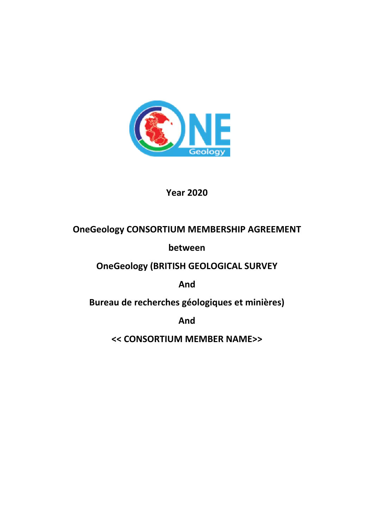

**Year 2020**

# **OneGeology CONSORTIUM MEMBERSHIP AGREEMENT**

**between**

**OneGeology (BRITISH GEOLOGICAL SURVEY**

**And**

**Bureau de recherches géologiques et minières)**

**And**

**<< CONSORTIUM MEMBER NAME>>**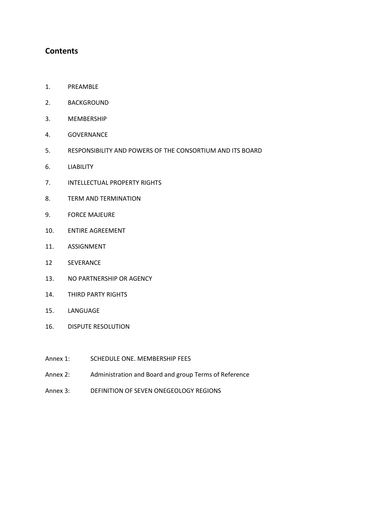# **Contents**

- 1. PREAMBLE
- 2. BACKGROUND
- 3. MEMBERSHIP
- 4. GOVERNANCE
- 5. RESPONSIBILITY AND POWERS OF THE CONSORTIUM AND ITS BOARD
- 6. LIABILITY
- 7. INTELLECTUAL PROPERTY RIGHTS
- 8. TERM AND TERMINATION
- 9. FORCE MAJEURE
- 10. ENTIRE AGREEMENT
- 11. ASSIGNMENT
- 12 SEVERANCE
- 13. NO PARTNERSHIP OR AGENCY
- 14. THIRD PARTY RIGHTS
- 15. LANGUAGE
- 16. DISPUTE RESOLUTION
- Annex 1: SCHEDULE ONE. MEMBERSHIP FEES
- Annex 2: Administration and Board and group Terms of Reference
- Annex 3: DEFINITION OF SEVEN ONEGEOLOGY REGIONS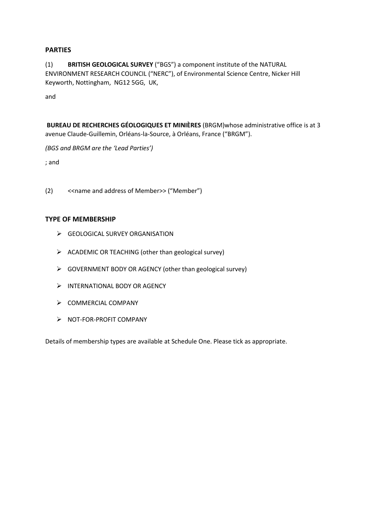### **PARTIES**

(1) **BRITISH GEOLOGICAL SURVEY** ("BGS") a component institute of the NATURAL ENVIRONMENT RESEARCH COUNCIL ("NERC"), of Environmental Science Centre, Nicker Hill Keyworth, Nottingham, NG12 5GG, UK,

and

**BUREAU DE RECHERCHES GÉOLOGIQUES ET MINIÈRES** (BRGM)whose administrative office is at 3 avenue Claude-Guillemin, Orléans-la-Source, à Orléans, France ("BRGM").

*(BGS and BRGM are the 'Lead Parties')*

; and

(2) <<name and address of Member>> ("Member")

#### **TYPE OF MEMBERSHIP**

- SEOLOGICAL SURVEY ORGANISATION
- $\triangleright$  ACADEMIC OR TEACHING (other than geological survey)
- $\triangleright$  GOVERNMENT BODY OR AGENCY (other than geological survey)
- > INTERNATIONAL BODY OR AGENCY
- $\triangleright$  COMMERCIAL COMPANY
- $\triangleright$  NOT-FOR-PROFIT COMPANY

Details of membership types are available at Schedule One. Please tick as appropriate.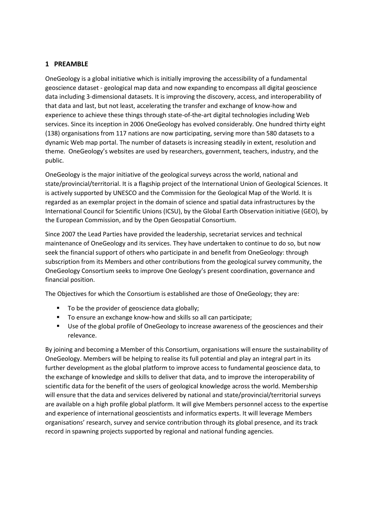## **1 PREAMBLE**

OneGeology is a global initiative which is initially improving the accessibility of a fundamental geoscience dataset - geological map data and now expanding to encompass all digital geoscience data including 3-dimensional datasets. It is improving the discovery, access, and interoperability of that data and last, but not least, accelerating the transfer and exchange of know-how and experience to achieve these things through state-of-the-art digital technologies including Web services. Since its inception in 2006 OneGeology has evolved considerably. One hundred thirty eight (138) organisations from 117 nations are now participating, serving more than 580 datasets to a dynamic Web map portal. The number of datasets is increasing steadily in extent, resolution and theme. OneGeology's websites are used by researchers, government, teachers, industry, and the public.

OneGeology is the major initiative of the geological surveys across the world, national and state/provincial/territorial. It is a flagship project of the International Union of Geological Sciences. It is actively supported by UNESCO and the Commission for the Geological Map of the World. It is regarded as an exemplar project in the domain of science and spatial data infrastructures by the International Council for Scientific Unions (ICSU), by the Global Earth Observation initiative (GEO), by the European Commission, and by the Open Geospatial Consortium.

Since 2007 the Lead Parties have provided the leadership, secretariat services and technical maintenance of OneGeology and its services. They have undertaken to continue to do so, but now seek the financial support of others who participate in and benefit from OneGeology: through subscription from its Members and other contributions from the geological survey community, the OneGeology Consortium seeks to improve One Geology's present coordination, governance and financial position.

The Objectives for which the Consortium is established are those of OneGeology; they are:

- To be the provider of geoscience data globally;
- To ensure an exchange know-how and skills so all can participate;
- Use of the global profile of OneGeology to increase awareness of the geosciences and their relevance.

By joining and becoming a Member of this Consortium, organisations will ensure the sustainability of OneGeology. Members will be helping to realise its full potential and play an integral part in its further development as the global platform to improve access to fundamental geoscience data, to the exchange of knowledge and skills to deliver that data, and to improve the interoperability of scientific data for the benefit of the users of geological knowledge across the world. Membership will ensure that the data and services delivered by national and state/provincial/territorial surveys are available on a high profile global platform. It will give Members personnel access to the expertise and experience of international geoscientists and informatics experts. It will leverage Members organisations' research, survey and service contribution through its global presence, and its track record in spawning projects supported by regional and national funding agencies.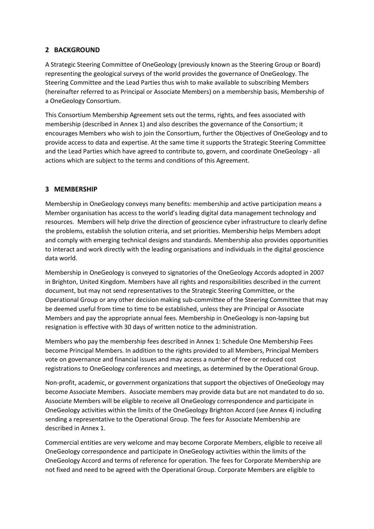# **2 BACKGROUND**

A Strategic Steering Committee of OneGeology (previously known as the Steering Group or Board) representing the geological surveys of the world provides the governance of OneGeology. The Steering Committee and the Lead Parties thus wish to make available to subscribing Members (hereinafter referred to as Principal or Associate Members) on a membership basis, Membership of a OneGeology Consortium.

This Consortium Membership Agreement sets out the terms, rights, and fees associated with membership (described in Annex 1) and also describes the governance of the Consortium; it encourages Members who wish to join the Consortium, further the Objectives of OneGeology and to provide access to data and expertise. At the same time it supports the Strategic Steering Committee and the Lead Parties which have agreed to contribute to, govern, and coordinate OneGeology - all actions which are subject to the terms and conditions of this Agreement.

# **3 MEMBERSHIP**

Membership in OneGeology conveys many benefits: membership and active participation means a Member organisation has access to the world's leading digital data management technology and resources. Members will help drive the direction of geoscience cyber infrastructure to clearly define the problems, establish the solution criteria, and set priorities. Membership helps Members adopt and comply with emerging technical designs and standards. Membership also provides opportunities to interact and work directly with the leading organisations and individuals in the digital geoscience data world.

Membership in OneGeology is conveyed to signatories of the OneGeology Accords adopted in 2007 in Brighton, United Kingdom. Members have all rights and responsibilities described in the current document, but may not send representatives to the Strategic Steering Committee, or the Operational Group or any other decision making sub-committee of the Steering Committee that may be deemed useful from time to time to be established, unless they are Principal or Associate Members and pay the appropriate annual fees. Membership in OneGeology is non-lapsing but resignation is effective with 30 days of written notice to the administration.

Members who pay the membership fees described in Annex 1: Schedule One Membership Fees become Principal Members. In addition to the rights provided to all Members, Principal Members vote on governance and financial issues and may access a number of free or reduced cost registrations to OneGeology conferences and meetings, as determined by the Operational Group.

Non-profit, academic, or government organizations that support the objectives of OneGeology may become Associate Members. Associate members may provide data but are not mandated to do so. Associate Members will be eligible to receive all OneGeology correspondence and participate in OneGeology activities within the limits of the OneGeology Brighton Accord (see Annex 4) including sending a representative to the Operational Group. The fees for Associate Membership are described in Annex 1.

Commercial entities are very welcome and may become Corporate Members, eligible to receive all OneGeology correspondence and participate in OneGeology activities within the limits of the OneGeology Accord and terms of reference for operation. The fees for Corporate Membership are not fixed and need to be agreed with the Operational Group. Corporate Members are eligible to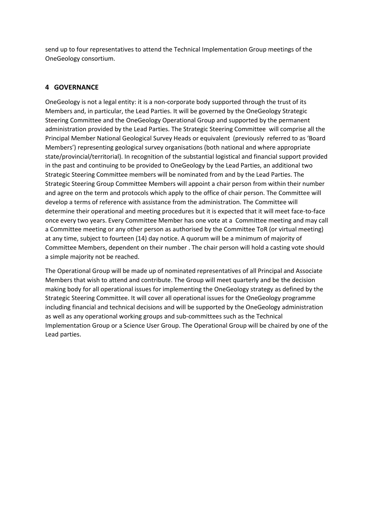send up to four representatives to attend the Technical Implementation Group meetings of the OneGeology consortium.

# **4 GOVERNANCE**

OneGeology is not a legal entity: it is a non-corporate body supported through the trust of its Members and, in particular, the Lead Parties. It will be governed by the OneGeology Strategic Steering Committee and the OneGeology Operational Group and supported by the permanent administration provided by the Lead Parties. The Strategic Steering Committee will comprise all the Principal Member National Geological Survey Heads or equivalent (previously referred to as 'Board Members') representing geological survey organisations (both national and where appropriate state/provincial/territorial). In recognition of the substantial logistical and financial support provided in the past and continuing to be provided to OneGeology by the Lead Parties, an additional two Strategic Steering Committee members will be nominated from and by the Lead Parties. The Strategic Steering Group Committee Members will appoint a chair person from within their number and agree on the term and protocols which apply to the office of chair person. The Committee will develop a terms of reference with assistance from the administration. The Committee will determine their operational and meeting procedures but it is expected that it will meet face-to-face once every two years. Every Committee Member has one vote at a Committee meeting and may call a Committee meeting or any other person as authorised by the Committee ToR (or virtual meeting) at any time, subject to fourteen (14) day notice. A quorum will be a minimum of majority of Committee Members, dependent on their number . The chair person will hold a casting vote should a simple majority not be reached.

The Operational Group will be made up of nominated representatives of all Principal and Associate Members that wish to attend and contribute. The Group will meet quarterly and be the decision making body for all operational issues for implementing the OneGeology strategy as defined by the Strategic Steering Committee. It will cover all operational issues for the OneGeology programme including financial and technical decisions and will be supported by the OneGeology administration as well as any operational working groups and sub-committees such as the Technical Implementation Group or a Science User Group. The Operational Group will be chaired by one of the Lead parties.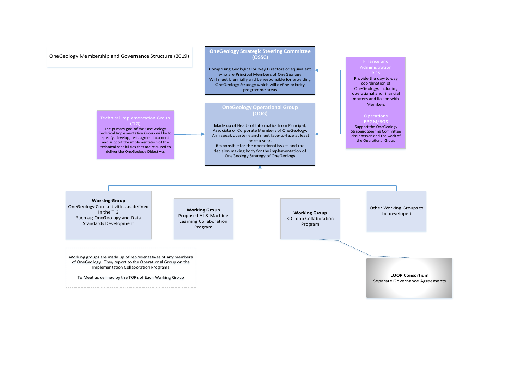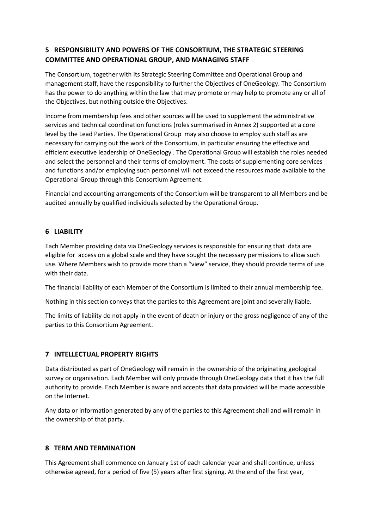# **5 RESPONSIBILITY AND POWERS OF THE CONSORTIUM, THE STRATEGIC STEERING COMMITTEE AND OPERATIONAL GROUP, AND MANAGING STAFF**

The Consortium, together with its Strategic Steering Committee and Operational Group and management staff, have the responsibility to further the Objectives of OneGeology. The Consortium has the power to do anything within the law that may promote or may help to promote any or all of the Objectives, but nothing outside the Objectives.

Income from membership fees and other sources will be used to supplement the administrative services and technical coordination functions (roles summarised in Annex 2) supported at a core level by the Lead Parties. The Operational Group may also choose to employ such staff as are necessary for carrying out the work of the Consortium, in particular ensuring the effective and efficient executive leadership of OneGeology . The Operational Group will establish the roles needed and select the personnel and their terms of employment. The costs of supplementing core services and functions and/or employing such personnel will not exceed the resources made available to the Operational Group through this Consortium Agreement.

Financial and accounting arrangements of the Consortium will be transparent to all Members and be audited annually by qualified individuals selected by the Operational Group.

### **6 LIABILITY**

Each Member providing data via OneGeology services is responsible for ensuring that data are eligible for access on a global scale and they have sought the necessary permissions to allow such use. Where Members wish to provide more than a "view" service, they should provide terms of use with their data.

The financial liability of each Member of the Consortium is limited to their annual membership fee.

Nothing in this section conveys that the parties to this Agreement are joint and severally liable.

The limits of liability do not apply in the event of death or injury or the gross negligence of any of the parties to this Consortium Agreement.

# **7 INTELLECTUAL PROPERTY RIGHTS**

Data distributed as part of OneGeology will remain in the ownership of the originating geological survey or organisation. Each Member will only provide through OneGeology data that it has the full authority to provide. Each Member is aware and accepts that data provided will be made accessible on the Internet.

Any data or information generated by any of the parties to this Agreement shall and will remain in the ownership of that party.

### **8 TERM AND TERMINATION**

This Agreement shall commence on January 1st of each calendar year and shall continue, unless otherwise agreed, for a period of five (5) years after first signing. At the end of the first year,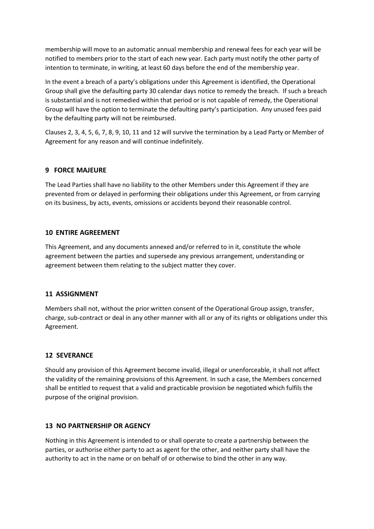membership will move to an automatic annual membership and renewal fees for each year will be notified to members prior to the start of each new year. Each party must notify the other party of intention to terminate, in writing, at least 60 days before the end of the membership year.

In the event a breach of a party's obligations under this Agreement is identified, the Operational Group shall give the defaulting party 30 calendar days notice to remedy the breach. If such a breach is substantial and is not remedied within that period or is not capable of remedy, the Operational Group will have the option to terminate the defaulting party's participation. Any unused fees paid by the defaulting party will not be reimbursed.

Clauses 2, 3, 4, 5, 6, 7, 8, 9, 10, 11 and 12 will survive the termination by a Lead Party or Member of Agreement for any reason and will continue indefinitely.

### **9 FORCE MAJEURE**

The Lead Parties shall have no liability to the other Members under this Agreement if they are prevented from or delayed in performing their obligations under this Agreement, or from carrying on its business, by acts, events, omissions or accidents beyond their reasonable control.

### **10 ENTIRE AGREEMENT**

This Agreement, and any documents annexed and/or referred to in it, constitute the whole agreement between the parties and supersede any previous arrangement, understanding or agreement between them relating to the subject matter they cover.

### **11 ASSIGNMENT**

Members shall not, without the prior written consent of the Operational Group assign, transfer, charge, sub-contract or deal in any other manner with all or any of its rights or obligations under this Agreement.

### **12 SEVERANCE**

Should any provision of this Agreement become invalid, illegal or unenforceable, it shall not affect the validity of the remaining provisions of this Agreement. In such a case, the Members concerned shall be entitled to request that a valid and practicable provision be negotiated which fulfils the purpose of the original provision.

### **13 NO PARTNERSHIP OR AGENCY**

Nothing in this Agreement is intended to or shall operate to create a partnership between the parties, or authorise either party to act as agent for the other, and neither party shall have the authority to act in the name or on behalf of or otherwise to bind the other in any way.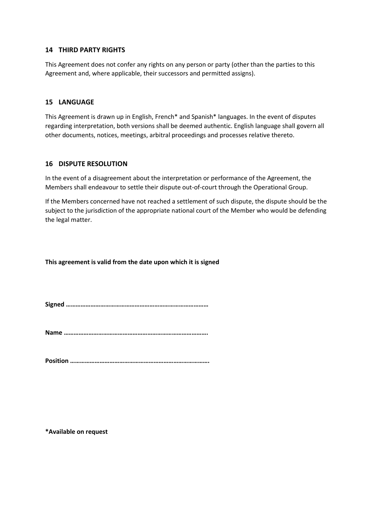#### **14 THIRD PARTY RIGHTS**

This Agreement does not confer any rights on any person or party (other than the parties to this Agreement and, where applicable, their successors and permitted assigns).

#### **15 LANGUAGE**

This Agreement is drawn up in English, French\* and Spanish\* languages. In the event of disputes regarding interpretation, both versions shall be deemed authentic. English language shall govern all other documents, notices, meetings, arbitral proceedings and processes relative thereto.

#### **16 DISPUTE RESOLUTION**

In the event of a disagreement about the interpretation or performance of the Agreement, the Members shall endeavour to settle their dispute out-of-court through the Operational Group.

If the Members concerned have not reached a settlement of such dispute, the dispute should be the subject to the jurisdiction of the appropriate national court of the Member who would be defending the legal matter.

**This agreement is valid from the date upon which it is signed**

**Signed ……………………………………………………………………………**

**Name …………………………………………………………………………….**

**Position ………………………………………………………………………….**

**\*Available on request**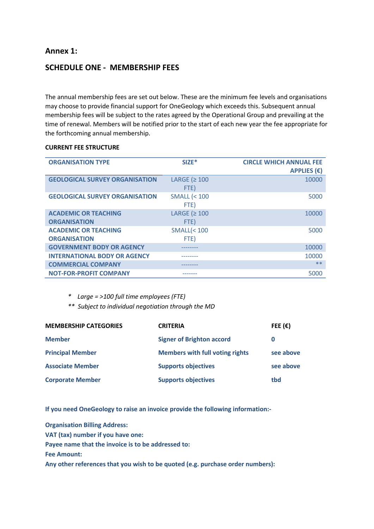# **Annex 1:**

# **SCHEDULE ONE - MEMBERSHIP FEES**

The annual membership fees are set out below. These are the minimum fee levels and organisations may choose to provide financial support for OneGeology which exceeds this. Subsequent annual membership fees will be subject to the rates agreed by the Operational Group and prevailing at the time of renewal. Members will be notified prior to the start of each new year the fee appropriate for the forthcoming annual membership.

#### **CURRENT FEE STRUCTURE**

| <b>ORGANISATION TYPE</b>              | $SIZE$ *               | <b>CIRCLE WHICH ANNUAL FEE</b> |
|---------------------------------------|------------------------|--------------------------------|
|                                       |                        | <b>APPLIES</b> $(\epsilon)$    |
| <b>GEOLOGICAL SURVEY ORGANISATION</b> | LARGE ( $\geq 100$     | 10000                          |
|                                       | FTE)                   |                                |
| <b>GEOLOGICAL SURVEY ORGANISATION</b> | <b>SMALL (&lt; 100</b> | 5000                           |
|                                       | FTE)                   |                                |
| <b>ACADEMIC OR TEACHING</b>           | LARGE ( $\geq 100$     | 10000                          |
| <b>ORGANISATION</b>                   | FTE)                   |                                |
| <b>ACADEMIC OR TEACHING</b>           | <b>SMALL(&lt;100</b>   | 5000                           |
| <b>ORGANISATION</b>                   | FTE)                   |                                |
| <b>GOVERNMENT BODY OR AGENCY</b>      |                        | 10000                          |
| <b>INTERNATIONAL BODY OR AGENCY</b>   |                        | 10000                          |
| <b>COMMERCIAL COMPANY</b>             |                        | $**$                           |
| <b>NOT-FOR-PROFIT COMPANY</b>         |                        | 5000                           |

*\* Large = >100 full time employees (FTE)*

*\*\* Subject to individual negotiation through the MD*

| <b>MEMBERSHIP CATEGORIES</b> | <b>CRITERIA</b>                        | FEE $(\epsilon)$ |
|------------------------------|----------------------------------------|------------------|
| <b>Member</b>                | <b>Signer of Brighton accord</b>       | 0                |
| <b>Principal Member</b>      | <b>Members with full voting rights</b> | see above        |
| <b>Associate Member</b>      | <b>Supports objectives</b>             | see above        |
| <b>Corporate Member</b>      | <b>Supports objectives</b>             | tbd              |

**If you need OneGeology to raise an invoice provide the following information:-**

**Organisation Billing Address: VAT (tax) number if you have one: Payee name that the invoice is to be addressed to: Fee Amount: Any other references that you wish to be quoted (e.g. purchase order numbers):**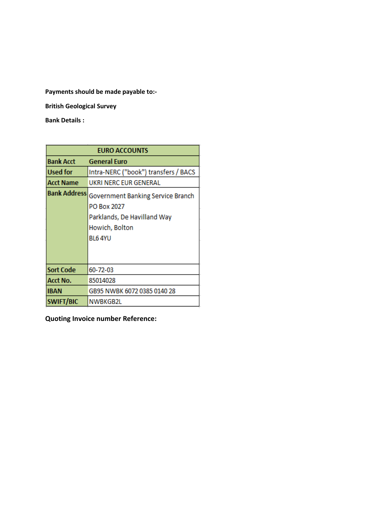**Payments should be made payable to:-**

**British Geological Survey**

**Bank Details :** 

| <b>EURO ACCOUNTS</b> |                                                                                                             |  |
|----------------------|-------------------------------------------------------------------------------------------------------------|--|
| <b>Bank Acct</b>     | <b>General Euro</b>                                                                                         |  |
| <b>Used for</b>      | Intra-NERC ("book") transfers / BACS                                                                        |  |
| Acct Name            | UKRI NERC EUR GENERAL                                                                                       |  |
| <b>Bank Address</b>  | Government Banking Service Branch<br>PO Box 2027<br>Parklands, De Havilland Way<br>Howich, Bolton<br>BL64YU |  |
|                      |                                                                                                             |  |
| <b>Sort Code</b>     | 60-72-03                                                                                                    |  |
| Acct No.             | 85014028                                                                                                    |  |
| <b>IBAN</b>          | GB95 NWBK 6072 0385 0140 28                                                                                 |  |
| <b>SWIFT/BIC</b>     | NWBKGB2L                                                                                                    |  |

**Quoting Invoice number Reference:**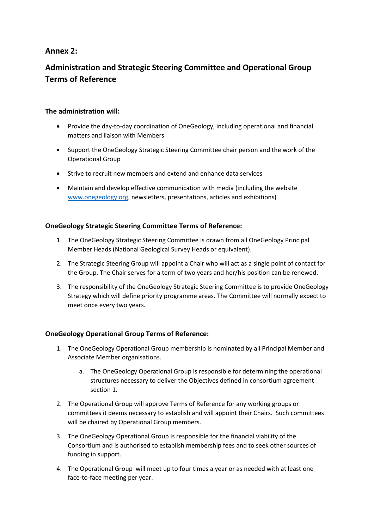# **Annex 2:**

# **Administration and Strategic Steering Committee and Operational Group Terms of Reference**

# **The administration will:**

- Provide the day-to-day coordination of OneGeology, including operational and financial matters and liaison with Members
- Support the OneGeology Strategic Steering Committee chair person and the work of the Operational Group
- Strive to recruit new members and extend and enhance data services
- Maintain and develop effective communication with media (including the website [www.onegeology.org,](http://www.onegeology.org/) newsletters, presentations, articles and exhibitions)

# **OneGeology Strategic Steering Committee Terms of Reference:**

- 1. The OneGeology Strategic Steering Committee is drawn from all OneGeology Principal Member Heads (National Geological Survey Heads or equivalent).
- 2. The Strategic Steering Group will appoint a Chair who will act as a single point of contact for the Group. The Chair serves for a term of two years and her/his position can be renewed.
- 3. The responsibility of the OneGeology Strategic Steering Committee is to provide OneGeology Strategy which will define priority programme areas. The Committee will normally expect to meet once every two years.

# **OneGeology Operational Group Terms of Reference:**

- 1. The OneGeology Operational Group membership is nominated by all Principal Member and Associate Member organisations.
	- a. The OneGeology Operational Group is responsible for determining the operational structures necessary to deliver the Objectives defined in consortium agreement section 1.
- 2. The Operational Group will approve Terms of Reference for any working groups or committees it deems necessary to establish and will appoint their Chairs. Such committees will be chaired by Operational Group members.
- 3. The OneGeology Operational Group is responsible for the financial viability of the Consortium and is authorised to establish membership fees and to seek other sources of funding in support.
- 4. The Operational Group will meet up to four times a year or as needed with at least one face-to-face meeting per year.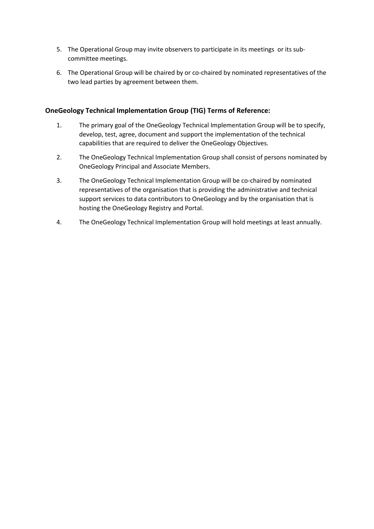- 5. The Operational Group may invite observers to participate in its meetings or its subcommittee meetings.
- 6. The Operational Group will be chaired by or co-chaired by nominated representatives of the two lead parties by agreement between them.

## **OneGeology Technical Implementation Group (TIG) Terms of Reference:**

- 1. The primary goal of the OneGeology Technical Implementation Group will be to specify, develop, test, agree, document and support the implementation of the technical capabilities that are required to deliver the OneGeology Objectives.
- 2. The OneGeology Technical Implementation Group shall consist of persons nominated by OneGeology Principal and Associate Members.
- 3. The OneGeology Technical Implementation Group will be co-chaired by nominated representatives of the organisation that is providing the administrative and technical support services to data contributors to OneGeology and by the organisation that is hosting the OneGeology Registry and Portal.
- 4. The OneGeology Technical Implementation Group will hold meetings at least annually.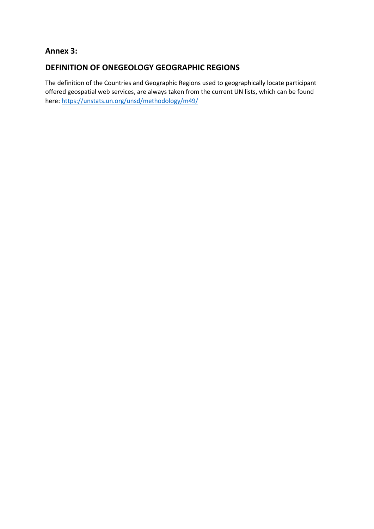# **Annex 3:**

# **DEFINITION OF ONEGEOLOGY GEOGRAPHIC REGIONS**

The definition of the Countries and Geographic Regions used to geographically locate participant offered geospatial web services, are always taken from the current UN lists, which can be found here:<https://unstats.un.org/unsd/methodology/m49/>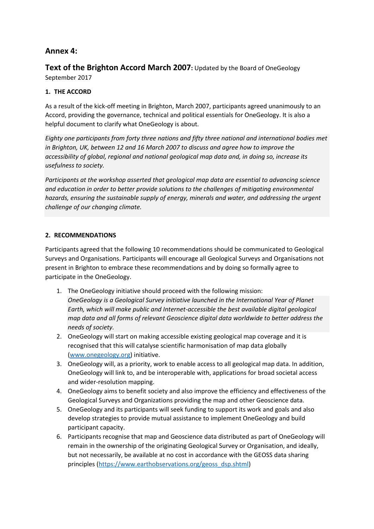# **Annex 4:**

**Text of the Brighton Accord March 2007:** Updated by the Board of OneGeology September 2017

# **1. THE ACCORD**

As a result of the kick-off meeting in Brighton, March 2007, participants agreed unanimously to an Accord, providing the governance, technical and political essentials for OneGeology. It is also a helpful document to clarify what OneGeology is about.

*Eighty one participants from forty three nations and fifty three national and international bodies met in Brighton, UK, between 12 and 16 March 2007 to discuss and agree how to improve the accessibility of global, regional and national geological map data and, in doing so, increase its usefulness to society.* 

*Participants at the workshop asserted that geological map data are essential to advancing science and education in order to better provide solutions to the challenges of mitigating environmental hazards, ensuring the sustainable supply of energy, minerals and water, and addressing the urgent challenge of our changing climate.*

# **2. RECOMMENDATIONS**

Participants agreed that the following 10 recommendations should be communicated to Geological Surveys and Organisations. Participants will encourage all Geological Surveys and Organisations not present in Brighton to embrace these recommendations and by doing so formally agree to participate in the OneGeology.

- 1. The OneGeology initiative should proceed with the following mission: *OneGeology is a Geological Survey initiative launched in the International Year of Planet Earth, which will make public and Internet-accessible the best available digital geological map data and all forms of relevant Geoscience digital data worldwide to better address the needs of society.*
- 2. OneGeology will start on making accessible existing geological map coverage and it is recognised that this will catalyse scientific harmonisation of map data globally [\(www.onegeology.org\)](http://www.onegeology.org/) initiative.
- 3. OneGeology will, as a priority, work to enable access to all geological map data. In addition, OneGeology will link to, and be interoperable with, applications for broad societal access and wider-resolution mapping.
- 4. OneGeology aims to benefit society and also improve the efficiency and effectiveness of the Geological Surveys and Organizations providing the map and other Geoscience data.
- 5. OneGeology and its participants will seek funding to support its work and goals and also develop strategies to provide mutual assistance to implement OneGeology and build participant capacity.
- 6. Participants recognise that map and Geoscience data distributed as part of OneGeology will remain in the ownership of the originating Geological Survey or Organisation, and ideally, but not necessarily, be available at no cost in accordance with the GEOSS data sharing principles [\(https://www.earthobservations.org/geoss\\_dsp.shtml\)](https://www.earthobservations.org/geoss_dsp.shtml)